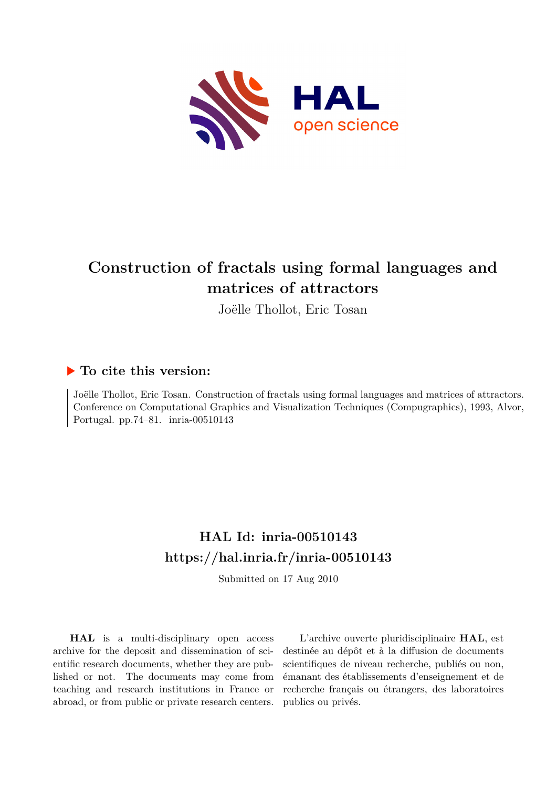

## **Construction of fractals using formal languages and matrices of attractors**

Joëlle Thollot, Eric Tosan

#### **To cite this version:**

Joëlle Thollot, Eric Tosan. Construction of fractals using formal languages and matrices of attractors. Conference on Computational Graphics and Visualization Techniques (Compugraphics), 1993, Alvor, Portugal. pp.74–81. inria-00510143

### **HAL Id: inria-00510143 <https://hal.inria.fr/inria-00510143>**

Submitted on 17 Aug 2010

**HAL** is a multi-disciplinary open access archive for the deposit and dissemination of scientific research documents, whether they are published or not. The documents may come from teaching and research institutions in France or abroad, or from public or private research centers.

L'archive ouverte pluridisciplinaire **HAL**, est destinée au dépôt et à la diffusion de documents scientifiques de niveau recherche, publiés ou non, émanant des établissements d'enseignement et de recherche français ou étrangers, des laboratoires publics ou privés.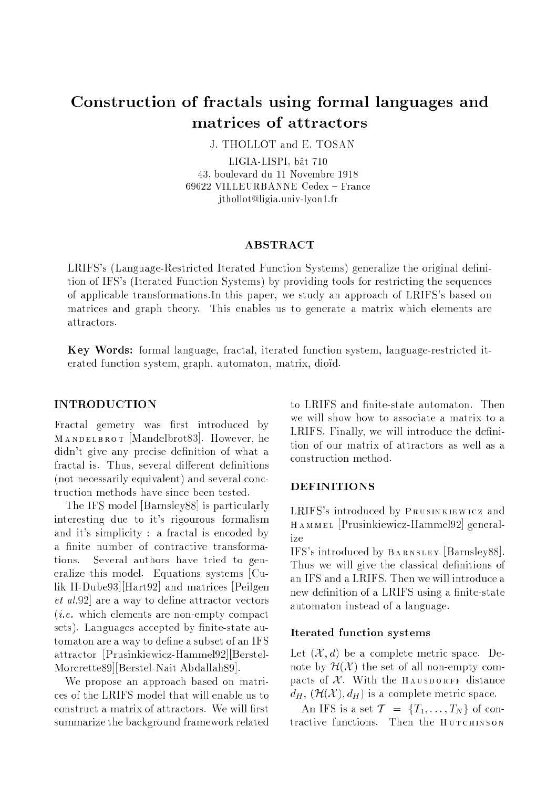# Construction of fractals using formal languages and

J. THOLLOT and E. TOSAN

LIGIA-LISPL bât 710 LIGIA-LISPI, b^at 710 43, boulevard du 11 Novembre 1918 69622 VILLEURBANNE Cedex { France jthollot@ligia.univ-lyon1.fr

#### **ABSTRACT**

LRIFS's (Language-Restricted Iterated Function Systems) generalize the original definition of IFS's (Iterated Function Systems) by providing tools for restricting the sequences of applicable transformations.In this paper, we study an approach of LRIFS's based on matrices and graph theory. This enables us to generate <sup>a</sup> matrix which elements are attractors.

Key Words: formal language, fractal, iterated function system, language-restricted iterated function system, graph, automaton, matrix, diod.

#### INTRODUCTION

Fractal gemetry was first introduced by MANDELBROT [Mandelbrot83]. However, he didn't give any precise definition of what a fractal is. Thus, several different definitions (not necessarily equivalent) and several conctruction methods have since been tested.

The IFS model [Barnsley88] is particularly interesting due to it's rigourous formalism and it's simplicity : <sup>a</sup> fractal is encoded by a finite number of contractive transformations. Several authors have tried to generalize this model. Equations systems [Culik II-Dube93][Hart92] and matrices [Peilgen  $et~al.92$  are a way to define attractor vectors  $(i.e.$  which elements are non-empty compact sets). Languages accepted by finite-state automaton are a way to define a subset of an IFS attractor [Prusinkiewicz-Hammel92][Berstel-Morcrette89][Berstel-Nait Abdallah89].

We propose an approach based on matrices of the LRIFS model that will enable us to construct a matrix of attractors. We will first summarize the background framework related to LRIFS and finite-state automaton. Then we will show how to associate <sup>a</sup> matrix to <sup>a</sup> LRIFS. Finally, we will introduce the definition of our matrix of attractors as well as <sup>a</sup> construction method.

#### DEFINITIONS

LRIFS's introduced by Prusinkiewicz and HAMMEL [Prusinkiewicz-Hammel92] generalize

IFS's introduced by BARNSLEY [Barnsley88]. Thus we will give the classical definitions of an IFS and a LRIFS. Then we will introduce a new definition of a LRIFS using a finite-state automaton instead of a language.

#### Iterated function systems

Let  $(\mathcal{X}, d)$  be a complete metric space. Denote by  $\mathcal{H}(\mathcal{X})$  the set of all non-empty compacts of  $X$ . With the HAUSDORFF distance  $d_H$ ,  $(\mathcal{H}(\mathcal{X}), d_H)$  is a complete metric space.

An IFS is a set  $\mathcal{T} = \{T_1, \ldots, T_N\}$  of contractive functions. Then the HUTCHINSON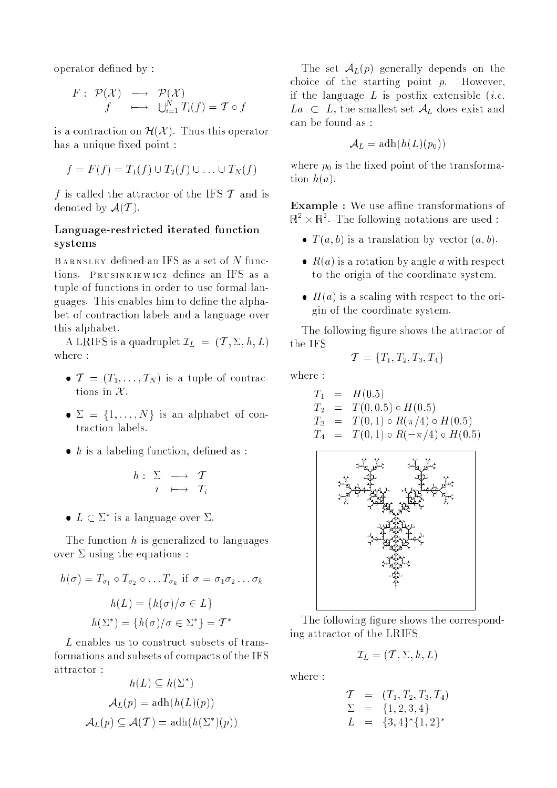operator defined by:

$$
\begin{array}{rcl}\nF: \mathcal{P}(\mathcal{X}) & \longrightarrow & \mathcal{P}(\mathcal{X}) \\
f & \longmapsto & \bigcup_{i=1}^{N} T_i(f) = \mathcal{T} \circ f\n\end{array}
$$

is a contraction on  $\mathcal{H}(\mathcal{X})$ . Thus this operator has a unique fixed point :

$$
f = F(f) = T_1(f) \cup T_2(f) \cup \ldots \cup T_N(f)
$$

f is called the attractor of the IFS  $\mathcal T$  and is denoted by  $\mathcal{A}(\mathcal{T})$ .

#### Language-restricted iterated function systems

 $BARNSLEY$  defined an IFS as a set of N functions. PRUSINKIEWICZ defines an IFS as a tuple of functions in order to use formal languages. This enables him to define the alphabet of contraction labels and a language over this alphabet.

A LRIFS is a quadruplet  $\mathcal{I}_L = (\mathcal{T}, \Sigma, h, L)$ 

- $\bullet T = (T_1, \ldots, T_N)$  is a tuple of contractions in  $\mathcal{X}$ .
- $\bullet \Sigma = \{1, \ldots, N\}$  is an alphabet of contraction labels.
- $\bullet$  h is a labeling function, defined as :

$$
h: \begin{array}{ccc} \Sigma & \longrightarrow & \mathcal{T} \\ i & \longmapsto & T_i \end{array}
$$

 $\bullet$   $L \subset L^-$  is a language over  $L$ .

The function  $h$  is generalized to languages over  $\Sigma$  using the equations :

$$
h(\sigma) = T_{\sigma_1} \circ T_{\sigma_2} \circ \dots T_{\sigma_k} \text{ if } \sigma = \sigma_1 \sigma_2 \dots \sigma_k
$$

$$
h(L) = \{h(\sigma)/\sigma \in L\}
$$

$$
h(\Sigma^*) = \{h(\sigma)/\sigma \in \Sigma^*\} = \mathcal{T}^*
$$

<sup>L</sup> enables us to construct subsets of transformations and subsets of compacts of the IFS attractor :

$$
h(L) \subseteq h(\Sigma^*)
$$

$$
\mathcal{A}_L(p) = \operatorname{adh}(h(L)(p))
$$

$$
\mathcal{A}_L(p) \subseteq \mathcal{A}(\mathcal{T}) = \operatorname{adh}(h(\Sigma^*)(p))
$$

The set  $\mathcal{A}_L(p)$  generally depends on the choice of the starting point p. However, if the language  $L$  is postfix extensible (*i.e.*  $La \subset L$ , the smallest set  $\mathcal{A}_L$  does exist and can be found as :

$$
\mathcal{A}_L = \operatorname{adh}(h(L)(p_0))
$$

where  $p_0$  is the fixed point of the transformation  $h(a)$ .

**Example :** We use affine transformations of  $\mathbb{R}^2 \times \mathbb{R}^2$ . The following notations are used :

- $T(a, b)$  is a translation by vector  $(a, b)$ .
- $R(a)$  is a rotation by angle a with respect to the origin of the coordinate system.
- $\bullet$  H(a) is a scaling with respect to the origin of the coordinate system.

The following figure shows the attractor of the IFS

$$
\mathcal{T} = \{T_1, T_2, T_3, T_4\}
$$

where :

$$
T_1 = H(0.5)
$$
  
\n
$$
T_2 = T(0, 0.5) \circ H(0.5)
$$
  
\n
$$
T_3 = T(0, 1) \circ R(\pi/4) \circ H(0.5)
$$
  
\n
$$
T_4 = T(0, 1) \circ R(-\pi/4) \circ H(0.5)
$$



The following figure shows the corresponding attractor of the LRIFS

$$
\mathcal{I}_L = (\mathcal{T}, \Sigma, h, L)
$$

where :

$$
\begin{array}{rcl}\nT & = & (T_1, T_2, T_3, T_4) \\
\Sigma & = & \{1, 2, 3, 4\} \\
L & = & \{3, 4\}^* \{1, 2\}^*\n\end{array}
$$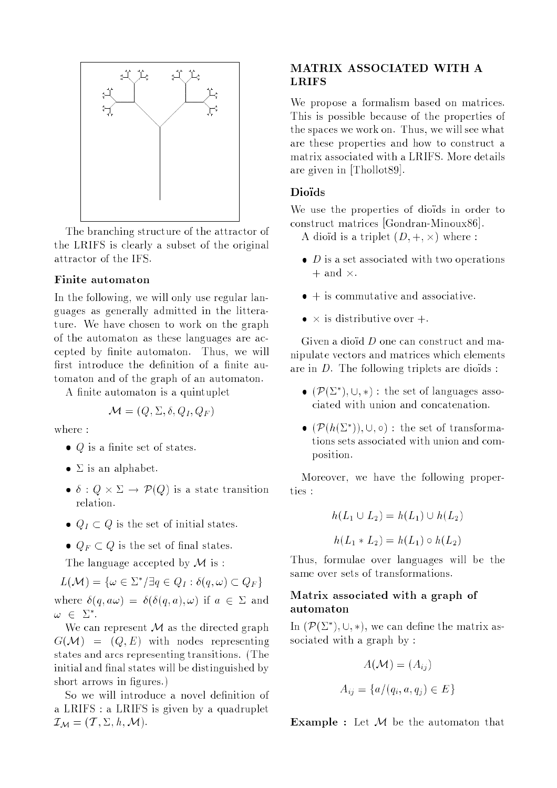

The branching structure of the attractor of the LRIFS is clearly <sup>a</sup> subset of the original attractor of the IFS.

#### Finite automaton

In the following, we will only use regular languages as generally admitted in the litterature. We have chosen to work on the graph of the automaton as these languages are accepted by finite automaton. Thus, we will first introduce the definition of a finite automaton and of the graph of an automaton.

A finite automaton is a quintuplet

$$
\mathcal{M} = (Q, \Sigma, \delta, Q_I, Q_F)
$$

where :

- $\bullet$  Q is a finite set of states.
- $\bullet$   $\Sigma$  is an alphabet.
- is the contract of the state transition of the state terms of the state terms of the state terms of the state of the state of the state of the state of the state of the state of the state of the state of the state of the s relation.
- $Q_I \subset Q$  is the set of initial states.
- $Q_F \subset Q$  is the set of final states.

The language accepted by  $\mathcal M$  is :

$$
L(\mathcal{M}) = \{ \omega \in \Sigma^* / \exists q \in Q_I : \delta(q, \omega) \subset Q_F \}
$$
  
where  $\delta(q, a\omega) = \delta(\delta(q, a), \omega)$  if  $a \in \Sigma$  and  
 $\omega \in \Sigma^*.$ 

We can represent  $M$  as the directed graph  $G(\mathcal{M}) = (Q, E)$  with nodes representing states and arcs representing transitions. (The initial and final states will be distinguished by short arrows in figures.)

So we will introduce a novel definition of <sup>a</sup> LRIFS : <sup>a</sup> LRIFS is given by <sup>a</sup> quadruplet  $\mathcal{I}_{\mathcal{M}} = (\mathcal{T}, \Sigma, h, \mathcal{M}).$ 

# **LRIFS**

We propose <sup>a</sup> formalism based on matrices. This is possible because of the properties of the spaces we work on. Thus, we will see what are these properties and how to construct <sup>a</sup> matrix associated with a LRIFS. More details are given in [Thollot89].

#### Dioïds

We use the properties of dioids in order to construct matrices [Gondran-Minoux86].

 $\cdots$  distribution is a triplet (D)  $\cdots$  (D)  $\cdots$  . The set of  $\cdots$ 

- $\bullet$  D is a set associated with two operations + and -.
- $\bullet$  + is commutative and associative.
- is distributive over +.

Given a dioid  $D$  one can construct and manipulate vectors and matrices which elements are in  $D$ . The following triplets are dioids :

- $\bullet$  ( $P(\Sigma)$ ),  $\cup$ ,  $\ast$ ): the set of languages associated with union and concatenation.
- $\bullet$  ( $P(n_1 \& \dots)$ ,  $\circ$ ) : the set of transformations sets associated with union and composition.

Moreover, we have the following properties :

$$
h(L_1 \cup L_2) = h(L_1) \cup h(L_2)
$$

$$
h(L_1 * L_2) = h(L_1) \circ h(L_2)
$$

Thus, formulae over languages will be the same over sets of transformations.

#### Matrix associated with <sup>a</sup> graph of automaton

In  $(\mathcal{F}(\Sigma^+), \cup, *)$ , we can define the matrix associated with a graph by :

$$
A(\mathcal{M}) = (A_{ij})
$$
  

$$
A_{ij} = \{a/(q_i, a, q_j) \in E\}
$$

**Example :** Let  $M$  be the automaton that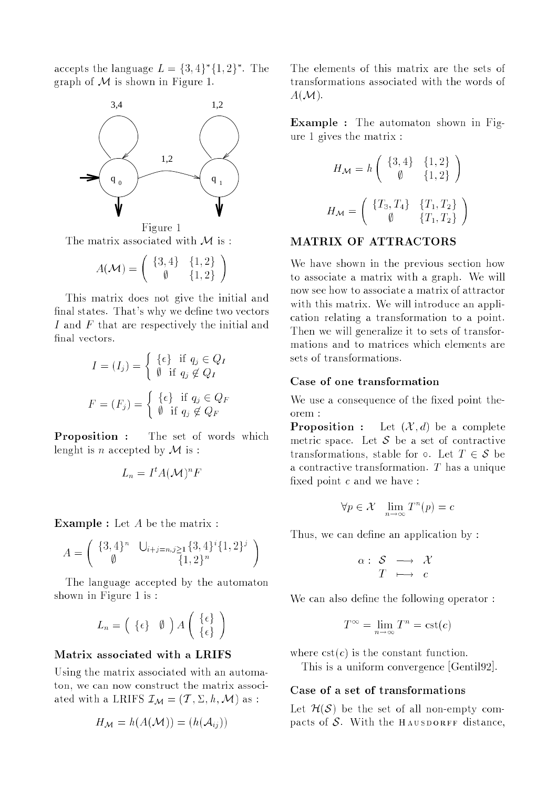accepts the language  $L = \{3, 4\}$   $\{1, 2\}$ . The graph of  $M$  is shown in Figure 1.



Figure 1 The matrix associated with  $\mathcal M$  is :

$$
A(\mathcal{M}) = \left(\begin{array}{cc} \{3,4\} & \{1,2\} \\ \emptyset & \{1,2\} \end{array}\right)
$$

This matrix does not give the initial and final states. That's why we define two vectors I and F that are respectively the initial and final vectors.

$$
I = (I_j) = \begin{cases} {\lbrace \epsilon \rbrace} & \text{if } q_j \in Q_I \\ \emptyset & \text{if } q_j \notin Q_I \end{cases}
$$

$$
F = (F_j) = \begin{cases} {\lbrace \epsilon \rbrace} & \text{if } q_j \in Q_F \\ \emptyset & \text{if } q_j \notin Q_F \end{cases}
$$

Proposition : The set of words which lenght is n accepted by  $\mathcal M$  is :

$$
L_n = I^t A(\mathcal{M})^n F
$$

Example : Let <sup>A</sup> be the matrix :

$$
A = \begin{pmatrix} \{3,4\}^n & \bigcup_{i+j=n,j\geq 1} \{3,4\}^i \{1,2\}^j \\ \emptyset & \{1,2\}^n \end{pmatrix}
$$

The language accepted by the automaton shown in Figure 1 is :

$$
L_n = \left( \begin{array}{c} {\lbrace \epsilon \rbrace} & \emptyset \end{array} \right) A \left( \begin{array}{c} {\lbrace \epsilon \rbrace} \\ {\lbrace \epsilon \rbrace} \end{array} \right)
$$

#### Matrix associated with <sup>a</sup> LRIFS

Using the matrix associated with an automaton, we can now construct the matrix associated with a LRIFS  $\mathcal{I}_{\mathcal{M}} = (\mathcal{T}, \Sigma, h, \mathcal{M})$  as:

$$
H_{\mathcal{M}} = h(A(\mathcal{M})) = (h(\mathcal{A}_{ij}))
$$

The elements of this matrix are the sets of transformations associated with the words of  $A(M).$ 

Example : The automaton shown in Figure 1 gives the matrix :

$$
H_{\mathcal{M}} = h \begin{pmatrix} \{3, 4\} & \{1, 2\} \\ \emptyset & \{1, 2\} \end{pmatrix}
$$

$$
H_{\mathcal{M}} = \begin{pmatrix} \{T_3, T_4\} & \{T_1, T_2\} \\ \emptyset & \{T_1, T_2\} \end{pmatrix}
$$

#### MATRIX OF ATTRACTORS

We have shown in the previous section how to associate <sup>a</sup> matrix with <sup>a</sup> graph. We will now see how to associate a matrix of attractor with this matrix. We will introduce an application relating <sup>a</sup> transformation to <sup>a</sup> point. Then we will generalize it to sets of transformations and to matrices which elements are sets of transformations.

#### Case of one transformation

We use a consequence of the fixed point theorem :

**Proposition :** Let  $(\mathcal{X}, d)$  be a complete metric space. Let  $S$  be a set of contractive transformations, stable for  $\circ$ . Let  $T \in \mathcal{S}$  be a contractive transformation. <sup>T</sup> has a unique fixed point  $c$  and we have :

$$
\forall p \in \mathcal{X} \quad \lim_{n \to \infty} T^n(p) = c
$$

Thus, we can define an application by:

$$
\begin{array}{rcl} \alpha : & \mathcal{S} & \longrightarrow & \mathcal{X} \\ & T & \longmapsto & c \end{array}
$$

We can also define the following operator:

$$
T^{\infty} = \lim_{n \to \infty} T^n = \text{cst}(c)
$$

where  $cst(c)$  is the constant function.

This is a uniform convergence [Gentil92].

#### Case of <sup>a</sup> set of transformations

Let  $\mathcal{H}(\mathcal{S})$  be the set of all non-empty compacts of S. With the HAUSDORFF distance,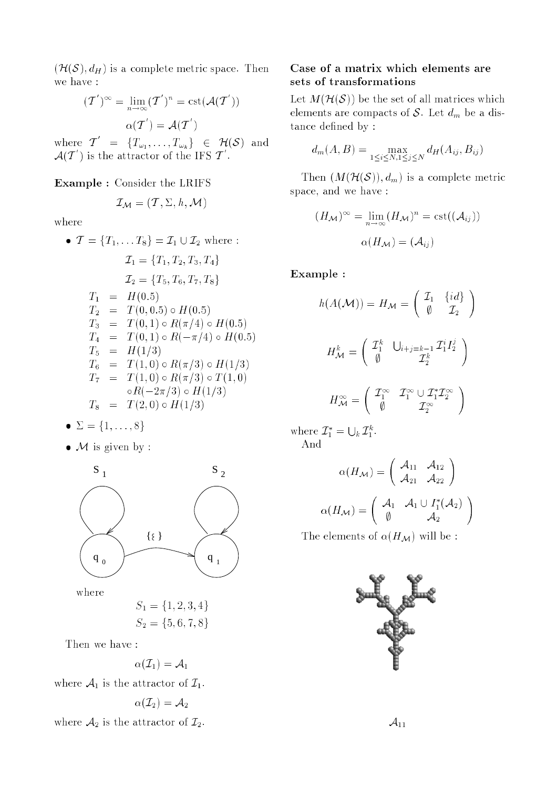$(\mathcal{H}(\mathcal{S}), d_H)$  is a complete metric space. Then we have :

$$
(\mathcal{T}')^{\infty} = \lim_{n \to \infty} (\mathcal{T}')^n = \text{cst}(\mathcal{A}(\mathcal{T}'))
$$

$$
\alpha(\mathcal{T}') = \mathcal{A}(\mathcal{T}')
$$

where  $T = \{T_{\omega_1}, \ldots, T_{\omega_k}\} \in \mathcal{H}(\mathcal{S})$  and  $\mathcal{A}(T$  ) is the attractor of the IFS  $T$  .

#### Example : Consider the LRIFS

$$
\mathcal{I}_{\mathcal{M}} = (\mathcal{T}, \Sigma, h, \mathcal{M})
$$

where

$$
\bullet \ \mathcal{T} = \{T_1, \dots T_8\} = \mathcal{I}_1 \cup \mathcal{I}_2 \text{ where :}
$$
\n
$$
\mathcal{I}_1 = \{T_1, T_2, T_3, T_4\}
$$
\n
$$
\mathcal{I}_2 = \{T_5, T_6, T_7, T_8\}
$$
\n
$$
T_1 = H(0.5)
$$
\n
$$
T_2 = T(0, 0.5) \circ H(0.5)
$$
\n
$$
T_3 = T(0, 1) \circ R(\pi/4) \circ H(0.5)
$$
\n
$$
T_4 = T(0, 1) \circ R(-\pi/4) \circ H(0.5)
$$
\n
$$
T_5 = H(1/3)
$$
\n
$$
T_6 = T(1, 0) \circ R(\pi/3) \circ H(1/3)
$$
\n
$$
T_7 = T(1, 0) \circ R(\pi/3) \circ T(1, 0)
$$
\n
$$
\circ R(-2\pi/3) \circ H(1/3)
$$
\n
$$
T_8 = T(2, 0) \circ H(1/3)
$$

$$
\bullet \ \Sigma = \{1, \ldots, 8\}
$$

 $\bullet$  M is given by :



where

$$
S_1 = \{1, 2, 3, 4\}
$$
  

$$
S_2 = \{5, 6, 7, 8\}
$$

Then we have :

$$
\alpha(\mathcal{I}_1)=\mathcal{A}_1
$$

where  $\mathcal{A}_1$  is the attractor of  $\mathcal{I}_1$ .

$$
\alpha(\mathcal{I}_2)=\mathcal{A}_2
$$

where  $\mathcal{A}_2$  is the attractor of  $\mathcal{I}_2$ .

#### Case of <sup>a</sup> matrix which elements are sets of transformations

Let  $M(\mathcal{H}(\mathcal{S}))$  be the set of all matrices which elements are compacts of S. Let  $d_m$  be a distance defined by :

$$
d_m(A, B) = \max_{1 \le i \le N, 1 \le j \le N} d_H(A_{ij}, B_{ij})
$$

Then  $(M(\mathcal{H}(\mathcal{S})), d_m)$  is a complete metric space, and we have :

$$
(H_{\mathcal{M}})^{\infty} = \lim_{n \to \infty} (H_{\mathcal{M}})^n = \text{cst}((\mathcal{A}_{ij}))
$$

$$
\alpha(H_{\mathcal{M}}) = (\mathcal{A}_{ij})
$$

Example :

$$
h(A(\mathcal{M})) = H_{\mathcal{M}} = \begin{pmatrix} \mathcal{I}_1 & \{id\} \\ \emptyset & \mathcal{I}_2 \end{pmatrix}
$$

$$
H_{\mathcal{M}}^k = \begin{pmatrix} \mathcal{I}_1^k & \bigcup_{i+j=k-1} \mathcal{I}_1^i I_2^j \\ \emptyset & \mathcal{I}_2^k \end{pmatrix}
$$

$$
H_{\mathcal{M}}^{\infty} = \left( \begin{array}{cc} L_1^{\infty} & L_1^{\infty} \cup L_1^{\infty} L_2^{\infty} \\ \emptyset & L_2^{\infty} \end{array} \right)
$$

where  $L_1$  =  $\bigcup_k {\mathcal I}_1^k.$ And

$$
\alpha(H_{\mathcal{M}}) = \begin{pmatrix} \mathcal{A}_{11} & \mathcal{A}_{12} \\ \mathcal{A}_{21} & \mathcal{A}_{22} \end{pmatrix}
$$

$$
\alpha(H_{\mathcal{M}}) = \begin{pmatrix} \mathcal{A}_1 & \mathcal{A}_1 \cup I_1^*(\mathcal{A}_2) \\ \emptyset & \mathcal{A}_2 \end{pmatrix}
$$

The elements of  $\alpha(H_{\mathcal{M}})$  will be :

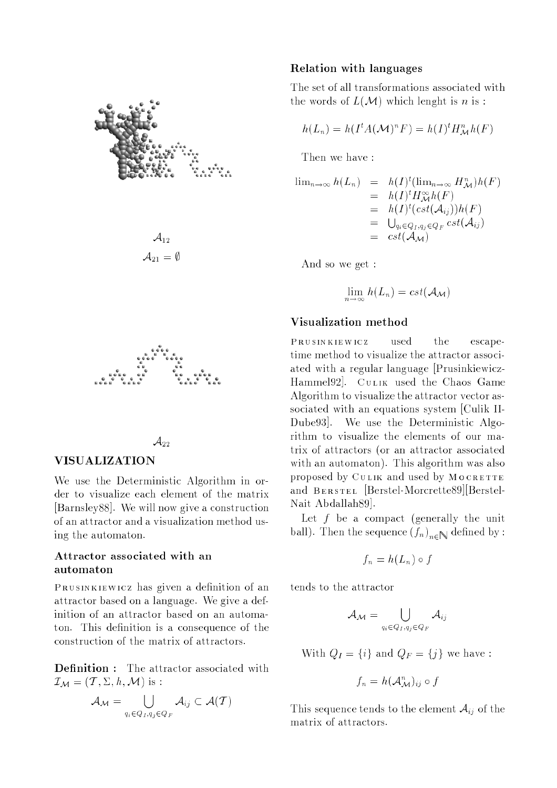

 $\mathcal{A}_{12}$  $\mathcal{A}_{21} = \emptyset$ 



#### $\mathcal{A}_{22}$

#### **VISUALIZATION**

We use the Deterministic Algorithm in order to visualize each element of the matrix [Barnsley88]. We will now give a construction of an attractor and a visualization method using the automaton.

#### Attractor associated with an automaton

PRUSINKIEWICZ has given a definition of an attractor based on a language. We give a definition of an attractor based on an automaton. This definition is a consequence of the construction of the matrix of attractors.

Definition : The attractor associated with  $\mathcal{I}_{\mathcal{M}} = (\mathcal{T}, \Sigma, h, \mathcal{M})$  is :

$$
\mathcal{A}_{\mathcal{M}} = \bigcup_{q_i \in Q_I, q_j \in Q_F} \mathcal{A}_{ij} \subset \mathcal{A}(\mathcal{T})
$$

#### Relation with languages

The set of all transformations associated with the words of  $L(\mathcal{M})$  which lenght is n is:

$$
h(L_n) = h(I^t A(\mathcal{M})^n F) = h(I)^t H^n_{\mathcal{M}} h(F)
$$

Then we have :

$$
\lim_{n \to \infty} h(L_n) = h(I)^t (\lim_{n \to \infty} H^n_{\mathcal{M}}) h(F)
$$
  
\n
$$
= h(I)^t H^{\infty}_{\mathcal{M}} h(F)
$$
  
\n
$$
= h(I)^t (cst(\mathcal{A}_{ij})) h(F)
$$
  
\n
$$
= \bigcup_{q_i \in Q_I, q_j \in Q_F} cst(\mathcal{A}_{ij})
$$
  
\n
$$
= cst(\mathcal{A}_{\mathcal{M}})
$$

And so we get :

$$
\lim_{n\to\infty} h(L_n) = cst(\mathcal{A}_{\mathcal{M}})
$$

#### Visualization method

Prusinkiewicz used the escapetime method to visualize the attractor associated with <sup>a</sup> regular language [Prusinkiewicz-Hammel92. CULIK used the Chaos Game Algorithm to visualize the attractor vector associated with an equations system [Culik II-Dube93]. We use the Deterministic Algorithm to visualize the elements of our matrix of attractors (or an attractor associated with an automaton). This algorithm was also proposed by CULIK and used by MOCRETTE and Berstel [Berstel-Morcrette89][Berstel-Nait Abdallah89].

Let  $f$  be a compact (generally the unit  $\sum_{i=1}^N$  about the sequence  $\binom{3n}{n+1}$  defined by:

$$
f_n = h(L_n) \circ f
$$

tends to the attractor

$$
\mathcal{A}_\mathcal{M} = \bigcup_{q_i \in Q_I, q_j \in Q_F} \mathcal{A}_{ij}
$$

With  $Q_I = \{i\}$  and  $Q_F = \{j\}$  we have :

$$
f_n = h(\mathcal{A}_{\mathcal{M}}^n)_{ij} \circ f
$$

This sequence tends to the element  $A_{ij}$  of the matrix of attractors.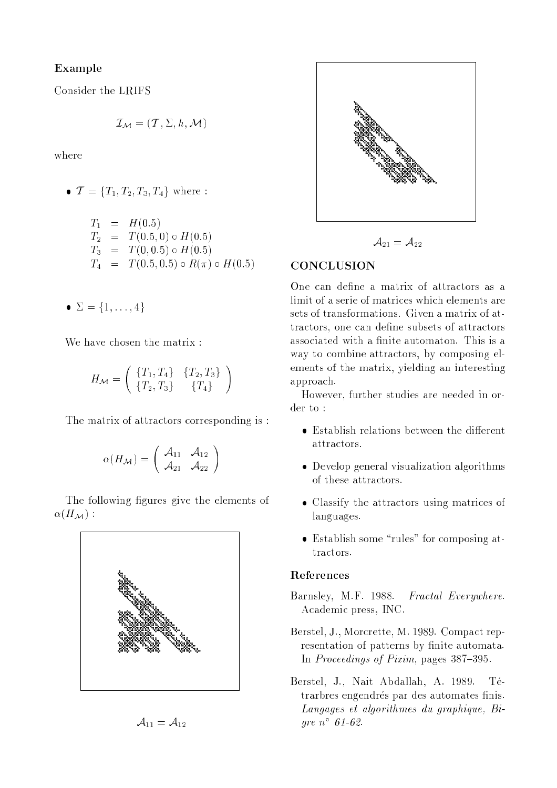#### Example

Consider the LRIFS

$$
\mathcal{I}_{\mathcal{M}} = (\mathcal{T}, \Sigma, h, \mathcal{M})
$$

where

•  $\mathcal{T} = \{T_1, T_2, T_3, T_4\}$  where :

$$
T_1 = H(0.5)
$$
  
\n
$$
T_2 = T(0.5, 0) \circ H(0.5)
$$
  
\n
$$
T_3 = T(0, 0.5) \circ H(0.5)
$$
  
\n
$$
T_4 = T(0.5, 0.5) \circ R(\pi) \circ H(0.5)
$$

 $\bullet \Sigma = \{1, \ldots, 4\}$ 

We have chosen the matrix :

$$
H_{\mathcal{M}} = \left( \begin{array}{cc} \{T_1, T_4\} & \{T_2, T_3\} \\ \{T_2, T_3\} & \{T_4\} \end{array} \right)
$$

The matrix of attractors corresponding is :

$$
\alpha(H_{\mathcal{M}}) = \left( \begin{array}{cc} \mathcal{A}_{11} & \mathcal{A}_{12} \\ \mathcal{A}_{21} & \mathcal{A}_{22} \end{array} \right)
$$

The following figures give the elements of  $\alpha(H_{\mathcal{M}})$ :







$$
\mathcal{A}_{21}=\mathcal{A}_{22}
$$

#### **CONCLUSION**

One can define a matrix of attractors as a limit of a serie of matrices which elements are sets of transformations. Given a matrix of attractors, one can define subsets of attractors associated with a finite automaton. This is a way to combine attractors, by composing elements of the matrix, yielding an interesting approach.

However, further studies are needed in or $der to:$ 

- $\bullet$  Establish relations between the different attractors.
- Develop general visualization algorithms of these attractors.
- Classify the attractors using matrices of languages.
- $\bullet$  Establish some "rules" for composing attractors.

#### References

- Barnsley, M.F. 1988. Fractal Everywhere. Academic press, INC.
- Berstel, J., Morcrette, M. 1989. Compact representation of patterns by finite automata. In Proceedings of Pixim, pages  $387-395$ .
- Berstel, J., Nait Abdallah, A. 1989. Tetrarbres engendrés par des automates finis. Langages et algorithmes du graphique, Bigre n 61-62.